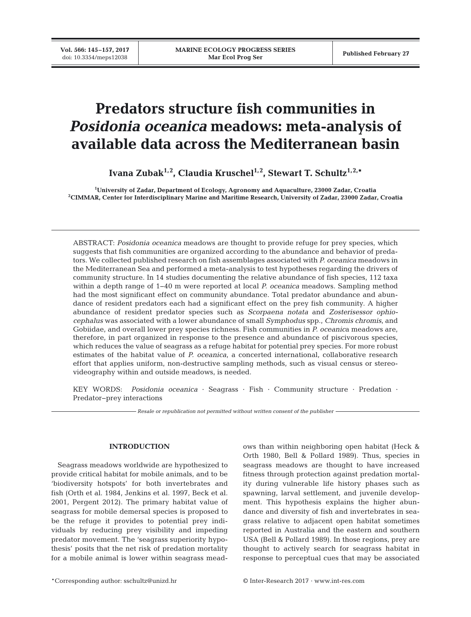# **Predators structure fish communities in**  *Posidonia oceanica* **meadows: meta-analysis of available data across the Mediterranean basin**

Ivana Zubak<sup>1,2</sup>, Claudia Kruschel<sup>1,2</sup>, Stewart T. Schultz<sup>1,2,\*</sup>

**1 University of Zadar, Department of Ecology, Agronomy and Aquaculture, 23000 Zadar, Croatia 2 CIMMAR, Center for Interdisciplinary Marine and Maritime Research, University of Zadar, 23000 Zadar, Croatia**

ABSTRACT: *Posidonia oceanica* meadows are thought to provide refuge for prey species, which suggests that fish communities are organized according to the abundance and behavior of predators. We collected published research on fish assemblages associated with *P. oceanica* meadows in the Mediterranean Sea and performed a meta-analysis to test hypotheses regarding the drivers of community structure. In 14 studies documenting the relative abundance of fish species, 112 taxa within a depth range of 1−40 m were reported at local *P. oceanica* meadows. Sampling method had the most significant effect on community abundance. Total predator abundance and abundance of resident predators each had a significant effect on the prey fish community. A higher abundance of resident predator species such as *Scorpaena notata* and *Zosterisessor ophiocephalus* was associated with a lower abundance of small *Symphodus* spp., *Chromis chromis*, and Gobiidae, and overall lower prey species richness. Fish communities in *P. oceanic*a meadows are, therefore, in part organized in response to the presence and abundance of piscivorous species, which reduces the value of seagrass as a refuge habitat for potential prey species. For more robust estimates of the habitat value of *P. oceanica*, a concerted international, collaborative research effort that applies uniform, non-destructive sampling methods, such as visual census or stereovideography within and outside meadows, is needed.

KEY WORDS: *Posidonia oceanica* · Seagrass · Fish · Community structure · Predation · Predator−prey interactions

*Resale or republication not permitted without written consent of the publisher*

## **INTRODUCTION**

Seagrass meadows worldwide are hypothesized to provide critical habitat for mobile animals, and to be 'biodiversity hotspots' for both invertebrates and fish (Orth et al. 1984, Jenkins et al. 1997, Beck et al. 2001, Pergent 2012). The primary habitat value of seagrass for mobile demersal species is proposed to be the refuge it provides to potential prey individuals by reducing prey visibility and impeding predator movement. The 'seagrass superiority hypothesis' posits that the net risk of predation mortality for a mobile animal is lower within seagrass meadows than within neighboring open habitat (Heck & Orth 1980, Bell & Pollard 1989). Thus, species in seagrass meadows are thought to have increased fitness through protection against predation mortality during vulnerable life history phases such as spawning, larval settlement, and juvenile development. This hypothesis explains the higher abundance and diversity of fish and invertebrates in seagrass relative to adjacent open habitat sometimes reported in Australia and the eastern and southern USA (Bell & Pollard 1989). In those regions, prey are thought to actively search for seagrass habitat in response to perceptual cues that may be associated

\*Corresponding author: sschultz@unizd.hr © Inter-Research 2017 · www.int-res.com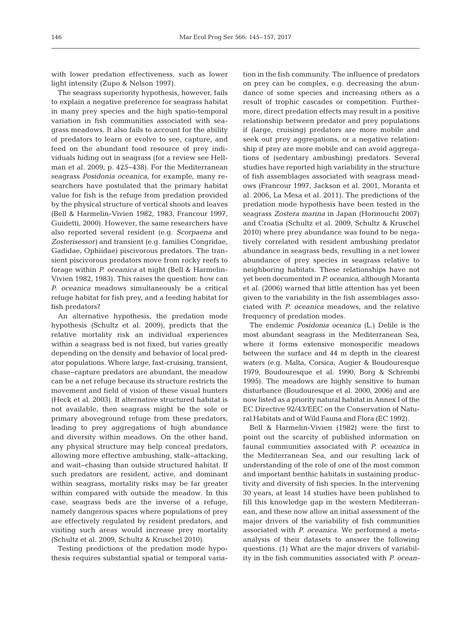with lower predation effectiveness, such as lower light intensity (Zupo & Nelson 1997).

The seagrass superiority hypothesis, however, fails to explain a negative preference for seagrass habitat in many prey species and the high spatio-temporal variation in fish communities associated with seagrass meadows. It also fails to account for the ability of predators to learn or evolve to see, capture, and feed on the abundant food resource of prey individuals hiding out in seagrass (for a review see Hellman et al. 2009, p. 425−438). For the Mediterranean seagrass *Posidonia oceanica*, for example, many re searchers have postulated that the primary habitat value for fish is the refuge from predation provided by the physical structure of vertical shoots and leaves (Bell & Harmelin-Vivien 1982, 1983, Francour 1997, Guidetti, 2000). However, the same researchers have also reported several resident (e.g. *Scorpaena* and *Zosterisessor)* and transient (e.g. families Congridae, Gadidae, Ophiidae) piscivorous predators. The transient piscivorous predators move from rocky reefs to forage within *P. oceanica* at night (Bell & Harmelin-Vivien 1982, 1983). This raises the question: how can *P. oceanica* meadows simultaneously be a critical refuge habitat for fish prey, and a feeding habitat for fish predators?

An alternative hypothesis, the predation mode hypothesis (Schultz et al. 2009), predicts that the relative mortality risk an individual experiences within a seagrass bed is not fixed, but varies greatly depending on the density and behavior of local predator populations. Where large, fast-cruising, transient, chase−capture predators are abundant, the meadow can be a net refuge because its structure restricts the movement and field of vision of these visual hunters (Heck et al. 2003). If alternative structured habitat is not available, then seagrass might be the sole or primary aboveground refuge from these predators, leading to prey aggregations of high abundance and diversity within meadows. On the other hand, any physical structure may help conceal predators, allowing more effective ambushing, stalk−attacking, and wait−chasing than outside structured habitat. If such predators are resident, active, and dominant within seagrass, mortality risks may be far greater within compared with outside the meadow. In this case, seagrass beds are the inverse of a refuge, namely dangerous spaces where populations of prey are effectively regulated by resident predators, and visiting such areas would increase prey mortality (Schultz et al. 2009, Schultz & Kruschel 2010).

Testing predictions of the predation mode hypothesis requires substantial spatial or temporal variation in the fish community. The influence of predators on prey can be complex, e.g. decreasing the abundance of some species and increasing others as a result of trophic cascades or competition. Furthermore, direct predation effects may result in a positive relationship between predator and prey populations if (large, cruising) predators are more mobile and seek out prey aggregations, or a negative relationship if prey are more mobile and can avoid aggregations of (sedentary ambushing) predators. Several studies have reported high variability in the structure of fish assemblages associated with seagrass meadows (Francour 1997, Jackson et al. 2001, Moranta et al. 2006, La Mesa et al. 2011). The predictions of the predation mode hypothesis have been tested in the seagrass *Zostera marina* in Japan (Horinouchi 2007) and Croatia (Schultz et al. 2009, Schultz & Kruschel 2010) where prey abundance was found to be negatively correlated with resident ambushing predator abundance in seagrass beds, resulting in a net lower abundance of prey species in seagrass relative to neighboring habitats. These relationships have not yet been documented in *P. oceanica*, although Moranta et al. (2006) warned that little attention has yet been given to the variability in the fish assemblages associated with *P. oceanica* meadows, and the relative frequency of predation modes.

The endemic *Posidonia oceanica* (L.) Delile is the most abundant seagrass in the Mediterranean Sea, where it forms extensive monospecific meadows between the surface and 44 m depth in the clearest waters (e.g. Malta, Corsica; Augier & Boudouresque 1979, Boudouresque et al. 1990, Borg & Schrembi 1995). The meadows are highly sensitive to human disturbance (Boudouresque et al. 2000, 2006) and are now listed as a priority natural habitat in Annex I of the EC Directive 92/43/EEC on the Conservation of Natural Habitats and of Wild Fauna and Flora (EC 1992).

Bell & Harmelin-Vivien (1982) were the first to point out the scarcity of published information on faunal communities associated with *P. oceanica* in the Mediterranean Sea, and our resulting lack of understanding of the role of one of the most common and important benthic habitats in sustaining productivity and diversity of fish species. In the intervening 30 years, at least 14 studies have been published to fill this knowledge gap in the western Mediterranean, and these now allow an initial assessment of the major drivers of the variability of fish communities associated with *P. oceanica*. We performed a metaanalysis of their datasets to answer the following questions. (1) What are the major drivers of variability in the fish communities associated with *P. ocean-*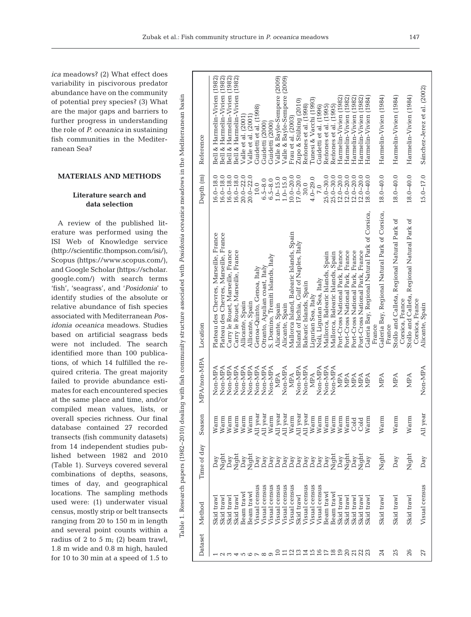are the major gaps and barriers to further progress in understanding the role of *P. oceanica* in sustaining fish communities in the Mediterranean Sea?

#### **MATERIALS AND METHODS**

# **Literature search and data selection**

A review of the published literature was performed using the ISI Web of Knowledge service (http://scientific.thompson.com/isi/), Scopus (https:// www. scopus.com/), and Google Scholar (https://scholar. google.com/) with search terms 'fish', 'seagrass', and '*Posidonia*' to identify studies of the absolute or relative abundance of fish species associated with Mediterranean *Pos idonia oceanica* meadows. Studies based on artificial seagrass beds were not included. The search identified more than 100 publications, of which 14 fulfilled the required criteria. The great majority failed to provide abundance estimates for each encountered species at the same place and time, and/or compiled mean values, lists, or overall species richness. Our final database contained 27 recorded transects (fish community datasets) from 14 independent studies published between 1982 and 2010 (Table 1). Surveys covered several combinations of depths, seasons, times of day, and geographical locations. The sampling methods used were: (1) underwater visual census, mostly strip or belt transects ranging from 20 to 150 m in length and several point counts within a radius of 2 to 5 m; (2) beam trawl, 1.8 m wide and 0.8 m high, hauled for 10 to 30 min at a speed of 1.5 to

| Dataset         | Method                   | Time of day                                    | Season               | MPA/non-MPA        | Location                                                                         | Depth <sub>(m)</sub>           | Reference                                                      |
|-----------------|--------------------------|------------------------------------------------|----------------------|--------------------|----------------------------------------------------------------------------------|--------------------------------|----------------------------------------------------------------|
|                 | Skid trawl<br>Skid traw  | Night<br>Day                                   | Warm<br>Warm         | Non-MPA<br>Non-MPA | Plateau des Chevres, Marseille, France<br>Plateau des Chevres, Marseille, France | $16.0 - 18.0$<br>$16.0 - 18.0$ | Bell & Harmelin-Vivien (1982)<br>Bell & Harmelin-Vivien (1982) |
|                 | Skid trawl               | Day                                            | Warm                 | Non-MPA            | Carry le Rouet, Marseille, France                                                | $16.0 - 18.0$                  | Bell & Harmelin-Vivien (1982)                                  |
|                 | Beam trawl<br>Skid trawl | Night<br>Day                                   | Warm<br>Warm         | Non-MPA<br>Non-MPA | Carry le Rouet, Marseille, France<br>Allicante, Spain                            | $16.0 - 18.0$<br>$20.0 - 22.0$ | Bell & Harmelin-Vivien (1982)<br>Valle et al. (2001)           |
|                 | Beam trawl               | Night                                          | Warm                 | Non-MPA            | Allicante, Spain                                                                 | $20.0 - 22.0$                  | Valle et al. (2001)                                            |
|                 | Visual census            | Day                                            |                      | Non-MPA            | Genoa-Quinto, Genoa, Italy                                                       | 10.0                           | Guidetti et al. (1998)                                         |
|                 | Visual census            | $_{\mathrm{Day}}$                              | All year<br>All year | Non-MPA            | Otranto, Apulian coast, Italy                                                    | $6.5 - 8.0$                    | Guidetti (2000)                                                |
|                 | Visual census            | $_{\mathrm{Day}}$                              | Warm                 | Non-MPA            | S. Domino, Tremiti Islands, Italy                                                | $6.5 - 8.0$                    | Guidetti (2000)                                                |
|                 | Visual census            | YBRY<br>Day<br>DAN<br>DAN<br>DAN<br>DAN<br>DAN | All year             | <b>NPA</b>         | Alicante, Spain                                                                  | $1.0 - 15.0$                   | Valle & Bayle-Sempere (2009)                                   |
|                 | Visual census            |                                                | All year             | Non-MPA            | Alicante, Spain                                                                  | $1.0 - 15.0$                   | Valle & Bayle-Sempere (2009)                                   |
|                 | Visual census            |                                                | Warm                 | MPA                | Mallorca Island, Balearic Islands, Spain                                         | $10.0 - 20.0$                  | Frau et al. (2003)                                             |
|                 | Skid trawl               |                                                | All year<br>All year | Non-MPA            | Island of Ischia, Gulf of Naples, Italy                                          | $17.0 - 20.0$                  | Zupo & Stübing (2010)                                          |
| $\overline{14}$ | Visual census            |                                                |                      | Non-MPA            | Balearic Islands, Spain                                                          | 30.0                           | Reñones et al. (1998)                                          |
|                 | Visual census            |                                                | Warm                 | <b>NPA</b>         | Liqurian Sea, Italy                                                              | $4.0 - 29.0$                   | Tunesi & Vacchi (1993)                                         |
| 15 <sub>0</sub> | Visual census            |                                                | Warm                 | Non-MPA            | Noli, Ligurian Sea, Italy                                                        | 7.0                            | Guidetti et al. (1996)                                         |
|                 | Beam traw                | $_{\mathrm{Day}}$                              | Warm                 | Non-MPA            | Mallorca, Balearic Islands, Spain                                                | $25.0 - 30.0$                  | Reñones et al. (1995)                                          |
| <b>ABSHSS</b>   | Beam trawl               | Night                                          | Warm                 | Non-MPA            | Mallorca, Balearic Islands, Spain                                                | $25.0 - 30.0$                  | Reñones et al. (1995)                                          |
|                 | Skid trawl               | $_{\mathrm{Day}}$                              | Warm                 | <b>NPA</b>         | Port-Cross National Park, France                                                 | $12.0 - 20.0$                  | Harmelin-Vivien (1982)                                         |
|                 | Skid traw]               | Night                                          | Warm                 | <b>NIPA</b>        | Port-Cross National Park, France                                                 | $12.0 - 20.0$                  | Harmelin-Vivien (1982)                                         |
|                 | Skid traw]               | $\mathop{\operatorname {Day}}\nolimits$        | Cold                 | <b>NIPA</b>        | Port-Cross National Park, France                                                 | $12.0 - 20.0$                  | Harmelin-Vivien (1982)                                         |
|                 | Skid traw                | Night                                          | Cold                 | <b>NPA</b>         | Port-Cross National Park, France                                                 | $12.0 - 20.0$                  | Harmelin-Vivien (1982)                                         |
|                 | Skid trawl               | Day                                            | Warm                 | <b>NIPA</b>        | Galeria Bay, Regional Natural Park of Corsica,<br>France                         | $18.0 - 40.0$                  | Harmelin-Vivien (1984)                                         |
| 24              | Skid trawl               | Night                                          | Warm                 | <b>NPA</b>         | Galeria Bay, Regional Natural Park of Corsica,<br>France                         | $18.0 - 40.0$                  | Harmelin-Vivien (1984)                                         |
| 25              | Skid trawl               | Day                                            | Warm                 | <b>NPA</b>         | Stollo and Calleta, Regional Natural Park of<br>Corsica, France                  | $18.0 - 40.0$                  | Harmelin-Vivien (1984)                                         |
| 26              | Skid trawl               | Night                                          | Warm                 | MPA                | Stollo and Calleta, Regional Natural Park of                                     | $18.0 - 40.0$                  | Harmelin-Vivien (1984)                                         |
| 27              | Visual census            | Day                                            | All year             | Non-MPA            | Corsica, France<br>Alicante, Spain                                               | $15.0 - 17.0$                  | Sánchez-Jerez et al. (2002)                                    |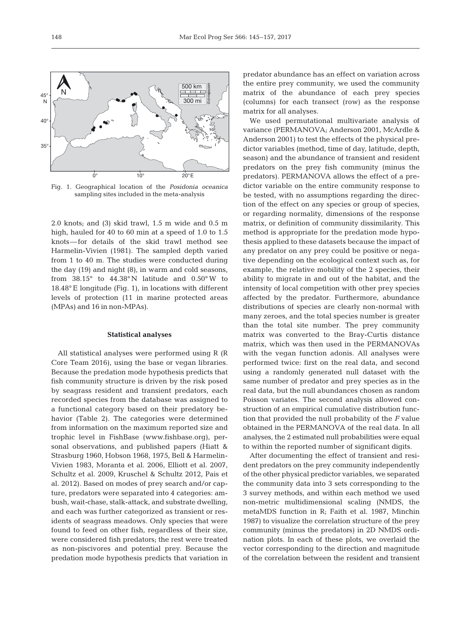500 km 300 mi

© d-maps.com



2.0 knots; and (3) skid trawl, 1.5 m wide and 0.5 m high, hauled for 40 to 60 min at a speed of 1.0 to 1.5 knots—for details of the skid trawl method see Harmelin-Vivien (1981). The sampled depth varied from 1 to 40 m. The studies were conducted during the day (19) and night (8), in warm and cold seasons, from 38.15° to 44.38° N latitude and 0.50° W to 18.48° E longitude (Fig. 1), in locations with different levels of protection (11 in marine protected areas (MPAs) and 16 in non-MPAs).

#### **Statistical analyses**

All statistical analyses were performed using R (R Core Team 2016), using the base or vegan libraries. Because the predation mode hypothesis predicts that fish community structure is driven by the risk posed by seagrass resident and transient predators, each recorded species from the database was assigned to a functional category based on their predatory be havior (Table 2). The categories were determined from information on the maximum reported size and trophic level in FishBase (www.fishbase.org), personal observations, and published papers (Hiatt & Strasburg 1960, Hobson 1968, 1975, Bell & Harmelin-Vivien 1983, Moranta et al. 2006, Elliott et al. 2007, Schultz et al. 2009, Kruschel & Schultz 2012, Pais et al. 2012). Based on modes of prey search and/or capture, predators were separated into 4 categories: am bush, wait-chase, stalk-attack, and substrate dwelling, and each was further categorized as transient or residents of seagrass meadows. Only species that were found to feed on other fish, regardless of their size, were considered fish predators; the rest were treated as non-piscivores and potential prey. Because the predation mode hypothesis predicts that variation in predator abundance has an effect on variation across the entire prey community, we used the community matrix of the abundance of each prey species (columns) for each transect (row) as the response matrix for all analyses.

We used permutational multivariate analysis of variance (PERMANOVA; Anderson 2001, McArdle & Anderson 2001) to test the effects of the physical predictor variables (method, time of day, latitude, depth, season) and the abundance of transient and resident predators on the prey fish community (minus the predators). PERMANOVA allows the effect of a predictor variable on the entire community response to be tested, with no assumptions regarding the direction of the effect on any species or group of species, or regarding normality, dimensions of the response matrix, or definition of community dissimilarity. This method is appropriate for the predation mode hypothesis applied to these datasets because the impact of any predator on any prey could be positive or negative depending on the ecological context such as, for example, the relative mobility of the 2 species, their ability to migrate in and out of the habitat, and the intensity of local competition with other prey species affected by the predator. Furthermore, abundance distributions of species are clearly non-normal with many zeroes, and the total species number is greater than the total site number. The prey community matrix was converted to the Bray-Curtis distance matrix, which was then used in the PERMANOVAs with the vegan function adonis. All analyses were performed twice: first on the real data, and second using a randomly generated null dataset with the same number of predator and prey species as in the real data, but the null abundances chosen as random Poisson variates. The second analysis allowed construction of an empirical cumulative distribution function that provided the null probability of the *F* value obtained in the PERMANOVA of the real data. In all analyses, the 2 estimated null probabilities were equal to within the reported number of significant digits.

After documenting the effect of transient and resident predators on the prey community independently of the other physical predictor variables, we separated the community data into 3 sets corresponding to the 3 survey methods, and within each method we used non-metric multidimensional scaling (NMDS, the metaMDS function in R; Faith et al. 1987, Minchin 1987) to visualize the correlation structure of the prey community (minus the predators) in 2D NMDS ordination plots. In each of these plots, we overlaid the vector corresponding to the direction and magnitude of the correlation between the resident and transient

N

40°

45° N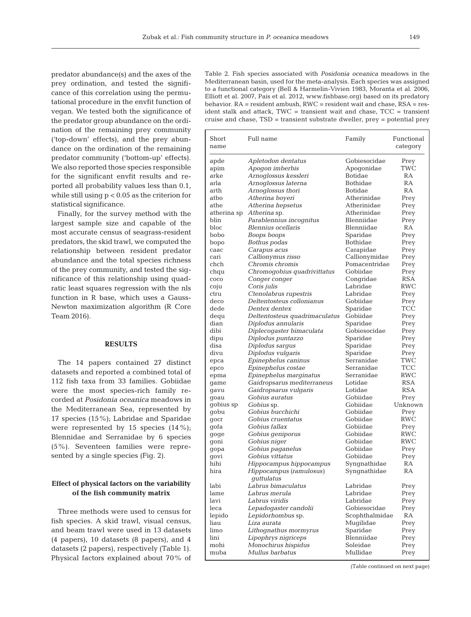predator abundance(s) and the axes of the prey ordination, and tested the significance of this correlation using the permutational procedure in the envfit function of vegan. We tested both the significance of the predator group abundance on the ordination of the remaining prey community ('top-down' effects), and the prey abundance on the ordination of the remaining predator community ('bottom-up' effects). We also reported those species responsible for the significant envfit results and reported all probability values less than 0.1, while still using p < 0.05 as the criterion for statistical significance.

Finally, for the survey method with the largest sample size and capable of the most accurate census of seagrass-resident predators, the skid trawl, we computed the relationship between resident predator abundance and the total species richness of the prey community, and tested the significance of this relationship using quadratic least squares regression with the nls function in R base, which uses a Gauss-Newton maximization algorithm (R Core Team 2016).

#### **RESULTS**

The 14 papers contained 27 distinct datasets and reported a combined total of 112 fish taxa from 33 families. Gobiidae were the most species-rich family recorded at *Posidonia oceanica* meadows in the Mediterranean Sea, represented by 17 species  $(15\%)$ ; Labridae and Sparidae were represented by 15 species  $(14\%)$ ; Blennidae and Serranidae by 6 species (5%). Seventeen families were represented by a single species (Fig. 2).

## **Effect of physical factors on the variability of the fish community matrix**

Three methods were used to census for fish species. A skid trawl, visual census, and beam trawl were used in 13 datasets (4 papers), 10 datasets (8 papers), and 4 datasets (2 papers), respectively (Table 1). Physical factors explained about 70% of Table 2. Fish species associated with *Posidonia oceanica* meadows in the Mediterranean basin, used for the meta-analysis. Each species was assigned to a functional category (Bell & Harmelin-Vivien 1983, Moranta et al. 2006, Elliott et al. 2007, Pais et al. 2012, www.fishbase.org) based on its predatory behavior. RA = resident ambush, RWC = resident wait and chase, RSA = resident stalk and attack, TWC = transient wait and chase, TCC = transient cruise and chase, TSD = transient substrate dweller, prey = potential prey

| Short<br>name | Full name                             | Family         | Functional<br>category |
|---------------|---------------------------------------|----------------|------------------------|
| apde          | Apletodon dentatus                    | Gobiesocidae   | Prey                   |
| apim          | Apogon imberbis                       | Apogonidae     | TWC                    |
| arke          | Arnoglossus kessleri                  | Botidae        | RA                     |
| arla          | Arnoglossus laterna                   | Bothidae       | <b>RA</b>              |
| arth          | Arnoglossus thori                     | Botidae        | RA                     |
| atbo          | Atherina boyeri                       | Atherinidae    | Prey                   |
| athe          | Atherina hepsetus                     | Atherinidae    | Prey                   |
| atherina sp   | Atherina sp.                          | Atherinidae    | Prey                   |
| blin          | Parablennius incognitus               | Blenniidae     | Prey                   |
| bloc.         | <i>Blennius ocellaris</i>             | Blenniidae     | RA                     |
| bobo          | Boops boops                           | Sparidae       | Prey                   |
| bopo          | Bothus podas                          | Bothidae       | Prey                   |
| caac          | Carapus acus                          | Carapidae      | Prey                   |
| cari          | <i>Callionymus risso</i>              | Callionymidae  | Prey                   |
| chch          | Chromis chromis                       | Pomacentridae  | Prey                   |
| chqu          | Chromogobius quadrivittatus           | Gobiidae       | Prey                   |
| COCO          | Conger conger                         | Congridae      | RSA                    |
| coju          | Coris julis                           | Labridae       | RWC                    |
| ctru          | Ctenolabrus rupestris                 | Labridae       | Prey                   |
| deco          | Deltentosteus collonianus             | Gobiidae       | Prey                   |
| dede          | Dentex dentex                         | Sparidae       | TCC                    |
| dequ          | Deltentosteus quadrimaculatus         | Gobiidae       | Prey                   |
| dian          | Diplodus annularis                    | Sparidae       | Prey                   |
| dibi          | Diplecogaster bimaculata              | Gobiesocidae   | Prey                   |
| dipu          | Diplodus puntazzo                     | Sparidae       | Prey                   |
| disa          | Diplodus sargus                       | Sparidae       | Prey                   |
| divu          | Diplodus vulgaris                     | Sparidae       | Prey                   |
| epca          | Epinephelus caninus                   | Serranidae     | TWC                    |
| epco          | Epinephelus costae                    | Serranidae     | TCC                    |
| epma          | Epinephelus marginatus                | Serranidae     | RWC                    |
| game          | Gaidropsarus mediterraneus            | Lotidae        | <b>RSA</b>             |
| gavu          | Gaidropsarus vulgaris                 | Lotidae        | <b>RSA</b>             |
| goau          | <i>Gobius auratus</i>                 | Gobiidae       | Prey                   |
| gobius sp     | <i>Gobius</i> sp.                     | Gobiidae       | Unknown                |
| gobu          | Gobius bucchichi                      | Gobiidae       | Prey                   |
| gocr          | Gobius cruentatus                     | Gobiidae       | RWC                    |
| gofa          | Gobius fallax                         | Gobiidae       | Prey                   |
| goge          | Gobius geniporus                      | Gobiidae       | RWC                    |
| goni          | Gobius niger                          | Gobiidae       | <b>RWC</b>             |
| gopa          | <i>Gobius paganelus</i>               | Gobiidae       | Prey                   |
| govi          | Gobius vittatus                       | Gobiidae       | Prey                   |
| hihi          | Hippocampus hippocampus               | Syngnathidae   | RA                     |
| hira          | Hippocampus (ramulosus)<br>quttulatus | Syngnathidae   | RA                     |
| labi          | Labrus bimaculatus                    | Labridae       | Prey                   |
| lame          | Labrus merula                         | Labridae       | Prey                   |
| lavi          | Labrus viridis                        | Labridae       | Prey                   |
| leca          | Lepadogaster candolii                 | Gobiesocidae   | Prey                   |
| lepido        | Lepidorhombus sp.                     | Scophthalmidae | RA                     |
| liau          | Liza aurata                           | Muqilidae      | Prey                   |
| limo          | Lithognathus mormyrus                 | Sparidae       | Prey                   |
| lini          | Lipophrys nigriceps                   | Blenniidae     | Prey                   |
| mohi          | Monochirus hispidus                   | Soleidae       | Prey                   |
| muba          | Mullus barbatus                       | Mullidae       | Prey                   |

(Table continued on next page)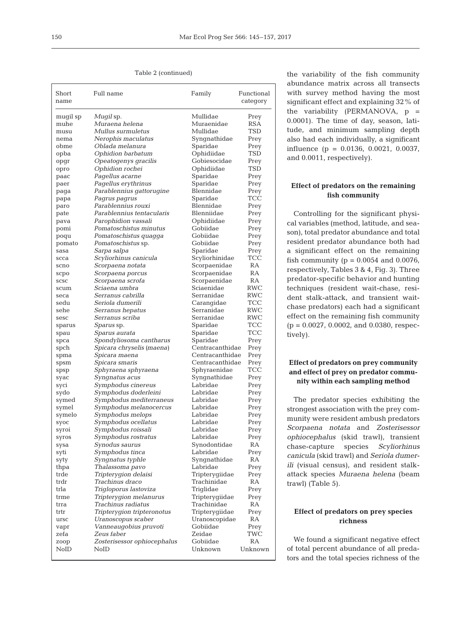Table 2 (continued)

| Short<br>name | Full name                   | Family          | Functional<br>category |
|---------------|-----------------------------|-----------------|------------------------|
| mugil sp      | <i>Mugil</i> sp.            | Mullidae        | Prey                   |
| muhe          | Muraena helena              | Muraenidae      | RSA                    |
| musu          | Mullus surmuletus           | Mullidae        | TSD                    |
| nema          | Nerophis maculatus          | Syngnathidae    | Prey                   |
| obme          | Oblada melanura             | Sparidae        | Prey                   |
| opba          | Ophidion barbatum           | Ophidiidae      | TSD                    |
| opgr          | Opeatogenys gracilis        | Gobiesocidae    | Prey                   |
| opro          | Ophidion rochei             | Ophidiidae      | <b>TSD</b>             |
| paac          | Pagellus acarne             | Sparidae        | Prey                   |
| paer          | Pagellus erythrinus         | Sparidae        | Prey                   |
| paga          | Parablennius gattorugine    | Blennidae       | Prey                   |
| papa          | Pagrus pagrus               | Sparidae        | <b>TCC</b>             |
| paro          | Parablennius rouxi          | Blennidae       | Prey                   |
| pate          | Parablennius tentacularis   | Blenniidae      | Prey                   |
| pava          | Parophidion vassali         | Ophidiidae      | Prey                   |
| pomi          | Pomatoschistus minutus      | Gobiidae        | Prey                   |
| poqu          | Pomatoschistus quagga       | Gobiidae        | Prey                   |
| pomato        | Pomatoschistus sp.          | Gobiidae        | Prey                   |
| sasa          | Sarpa salpa                 | Sparidae        | Prey                   |
| scca          | Scyliorhinus canicula       | Scyliorhinidae  | TCC                    |
| scno          | Scorpaena notata            | Scorpaenidae    | RA                     |
| scpo          | Scorpaena porcus            | Scorpaenidae    | RA                     |
| <b>SCSC</b>   | Scorpaena scrofa            | Scorpaenidae    | RA                     |
| scum          | Sciaena umbra               | Sciaenidae      | RWC                    |
| seca          | Serranus cabrilla           | Serranidae      | RWC                    |
| sedu          | Seriola dumerili            | Carangidae      | TCC                    |
| sehe          | Serranus hepatus            | Serranidae      | RWC                    |
| sesc          | Serranus scriba             | Serranidae      | RWC                    |
| sparus        | <i>Sparus</i> sp.           | Sparidae        | TCC                    |
| spau          | Sparus aurata               | Sparidae        | TCC                    |
| spca          | Spondyliosoma cantharus     | Sparidae        | Prey                   |
| spch          | Spicara chryselis (maena)   | Centracanthidae | Prey                   |
| spma          | Spicara maena               | Centracanthidae | Prey                   |
| spsm          | Spicara smaris              | Centracanthidae | Prey                   |
| spsp          | Sphyraena sphyraena         | Sphyraenidae    | TCC                    |
| syac          | Syngnatus acus              | Syngnathidae    | Prey                   |
| syci          | Symphodus cinereus          | Labridae        | Prey                   |
| sydo          | Symphodus doderleini        | Labridae        | Prey                   |
| symed         | Symphodus mediterraneus     | Labridae        | Prey                   |
| symel         | Symphodus melanocercus      | Labridae        | Prey                   |
| symelo        | Symphodus melops            | Labridae        | Prey                   |
| syoc          | Symphodus ocellatus         | Labridae        | Prey                   |
| syroi         | Symphodus roissali          | Labridae        | Prey                   |
| syros         | Symphodus rostratus         | Labridae        | Prey                   |
| sysa          | Synodus saurus              | Synodontidae    | RA                     |
| syti          | Symphodus tinca             | Labridae        | Prey                   |
| syty          | <i>Syngnatus typhle</i>     | Syngnathidae    | RA                     |
| thpa          | Thalassoma pavo             | Labridae        | Prey                   |
| trde          | Tripterygion delaisi        | Tripterygiidae  | Prey                   |
| trdr          | Trachinus draco             | Trachinidae     | RA                     |
| trla          | Trigloporus lastoviza       | Triglidae       | Prey                   |
| trme          | Tripterygion melanurus      | Tripterygiidae  | Prey                   |
| trra          | <i>Trachinus radiatus</i>   | Trachinidae     | RA                     |
| trtr          | Tripterygion tripteronotus  | Tripterygiidae  | Prey                   |
| ursc          | Uranoscopus scaber          | Uranoscopidae   | RA                     |
| vapr          | Vanneaugobius pruvoti       | Gobiidae        | Prey                   |
| zefa          | Zeus faber                  | Zeidae          | TWC                    |
| zoop          | Zosterisessor ophiocephalus | Gobiidae        | RA                     |
| NoID          | NolD                        | Unknown         | Unknown                |
|               |                             |                 |                        |

the variability of the fish community abundance matrix across all transects with survey method having the most significant effect and explaining 32% of the variability (PERMANOVA, p = 0.0001). The time of day, season, latitude, and minimum sampling depth also had each individually, a significant influence (p = 0.0136, 0.0021, 0.0037, and 0.0011, respectively).

## **Effect of predators on the remaining fish community**

Controlling for the significant physical variables (method, latitude, and season), total predator abundance and total resident predator abundance both had a significant effect on the remaining fish community ( $p = 0.0054$  and 0.0076, respectively, Tables 3 & 4, Fig. 3). Three predator-specific behavior and hunting techniques (resident wait-chase, resident stalk-attack, and transient waitchase predators) each had a significant effect on the remaining fish community (p = 0.0027, 0.0002, and 0.0380, respectively).

# **Effect of predators on prey community and effect of prey on predator community within each sampling method**

The predator species exhibiting the strongest association with the prey community were resident ambush predators *Scorpaena notata* and *Zosterisessor ophiocephalus* (skid trawl), transient chase-capture species *Scyliorhinus canicula* (skid trawl) and *Seriola dumerili* (visual census), and resident stalkattack species *Muraena helena* (beam trawl) (Table 5).

## **Effect of predators on prey species richness**

We found a significant negative effect of total percent abundance of all predators and the total species richness of the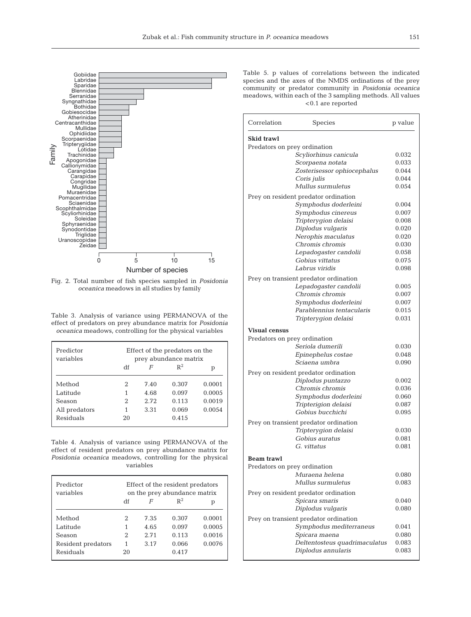

Fig. 2. Total number of fish species sampled in *Posidonia oceanica* meadows in all studies by family

Table 3. Analysis of variance using PERMANOVA of the effect of predators on prey abundance matrix for *Posidonia oceanica* meadows, controlling for the physical variables

| Predictor<br>variables | Effect of the predators on the<br>prey abundance matrix |       |       |        |
|------------------------|---------------------------------------------------------|-------|-------|--------|
|                        | df                                                      | F     | $R^2$ | р      |
| Method                 | 2                                                       | 7.40  | 0.307 | 0.0001 |
| Latitude               | 1                                                       | 4.68  | 0.097 | 0.0005 |
| Season                 | 2                                                       | 2.72. | 0.113 | 0.0019 |
| All predators          | 1                                                       | 3.31  | 0.069 | 0.0054 |
| Residuals              | 20                                                      |       | 0.415 |        |

Table 4. Analysis of variance using PERMANOVA of the effect of resident predators on prey abundance matrix for *Posidonia oceanica* meadows, controlling for the physical variables

| Predictor<br>variables | Effect of the resident predators<br>on the prey abundance matrix |      |       |        |
|------------------------|------------------------------------------------------------------|------|-------|--------|
|                        | df                                                               | F    | $R^2$ | р      |
| Method                 | 2                                                                | 7.35 | 0.307 | 0.0001 |
| Latitude               | 1                                                                | 4.65 | 0.097 | 0.0005 |
| Season                 | 2                                                                | 2.71 | 0.113 | 0.0016 |
| Resident predators     | 1                                                                | 3.17 | 0.066 | 0.0076 |
| Residuals              | 20                                                               |      | 0.417 |        |

Table 5. p values of correlations between the indicated species and the axes of the NMDS ordinations of the prey community or predator community in *Posidonia oceanica* meadows, within each of the 3 sampling methods. All values <0.1 are reported

| Skid trawl                            |                               |       |
|---------------------------------------|-------------------------------|-------|
| Predators on prey ordination          |                               |       |
|                                       | Scyliorhinus canicula         | 0.032 |
| Scorpaena notata                      |                               | 0.033 |
|                                       | Zosterisessor ophiocephalus   | 0.044 |
| Coris julis                           |                               | 0.044 |
| Mullus surmuletus                     |                               | 0.054 |
| Prey on resident predator ordination  |                               |       |
|                                       | Symphodus doderleini          | 0.004 |
|                                       | Symphodus cinereus            | 0.007 |
|                                       | Tripterygion delaisi          | 0.008 |
| Diplodus vulgaris                     |                               | 0.020 |
|                                       | Nerophis maculatus            | 0.020 |
| Chromis chromis                       |                               | 0.030 |
|                                       | Lepadogaster candolii         | 0.058 |
| Gobius vittatus                       |                               | 0.075 |
| Labrus viridis                        |                               | 0.098 |
| Prey on transient predator ordination |                               |       |
|                                       | Lepadogaster candolii         | 0.005 |
| Chromis chromis                       |                               | 0.007 |
|                                       | Symphodus doderleini          | 0.007 |
|                                       | Parablennius tentacularis     | 0.015 |
|                                       | Tripterygion delaisi          | 0.031 |
| <b>Visual census</b>                  |                               |       |
| Predators on prey ordination          |                               |       |
| Seriola dumerili                      |                               | 0.030 |
|                                       | Epinephelus costae            | 0.048 |
| Sciaena umbra                         |                               | 0.090 |
| Prey on resident predator ordination  |                               |       |
| Diplodus puntazzo                     |                               | 0.002 |
| Chromis chromis                       |                               | 0.036 |
|                                       | Symphodus doderleini          | 0.060 |
| Tripterigion delaisi                  |                               | 0.087 |
| Gobius bucchichi                      |                               | 0.095 |
| Prey on transient predator ordination |                               |       |
|                                       | Tripterygion delaisi          | 0.030 |
| Gobius auratus                        |                               | 0.081 |
| G. vittatus                           |                               | 0.081 |
|                                       |                               |       |
| <b>Beam trawl</b>                     |                               |       |
| Predators on prey ordination          |                               |       |
| Muraena helena                        |                               | 0.080 |
| Mullus surmuletus                     |                               | 0.083 |
| Prey on resident predator ordination  |                               |       |
| Spicara smaris                        |                               | 0.040 |
| Diplodus vulgaris                     |                               | 0.080 |
| Prey on transient predator ordination |                               |       |
|                                       | Symphodus mediterraneus       | 0.041 |
| Spicara maena                         |                               | 0.080 |
|                                       | Deltentosteus quadrimaculatus | 0.083 |
| Diplodus annularis                    |                               | 0.083 |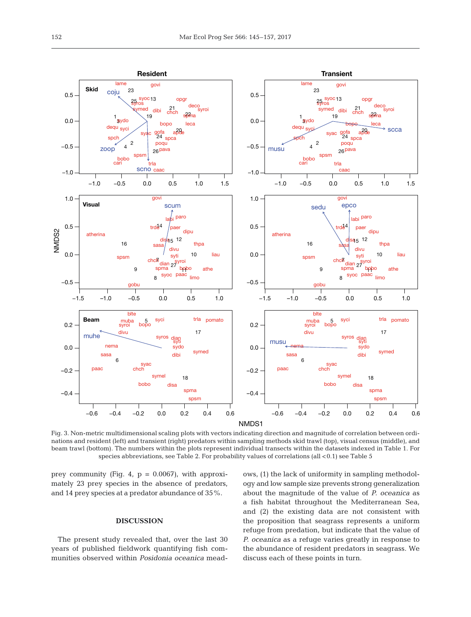

Fig. 3. Non-metric multidimensional scaling plots with vectors indicating direction and magnitude of correlation between ordinations and resident (left) and transient (right) predators within sampling methods skid trawl (top), visual census (middle), and beam trawl (bottom). The numbers within the plots represent individual transects within the datasets indexed in Table 1. For species abbreviations, see Table 2. For probability values of correlations (all <0.1) see Table 5

prey community (Fig. 4,  $p = 0.0067$ ), with approximately 23 prey species in the absence of predators, and 14 prey species at a predator abundance of 35%.

## **DISCUSSION**

The present study revealed that, over the last 30 years of published fieldwork quantifying fish communities observed within *Posidonia oceanica* meadows, (1) the lack of uniformity in sampling methodology and low sample size prevents strong generalization about the magnitude of the value of *P. oceanica* as a fish habitat throughout the Mediterranean Sea, and (2) the existing data are not consistent with the proposition that seagrass represents a uniform refuge from predation, but indicate that the value of *P. oceanica* as a refuge varies greatly in response to the abundance of resident predators in seagrass. We discuss each of these points in turn.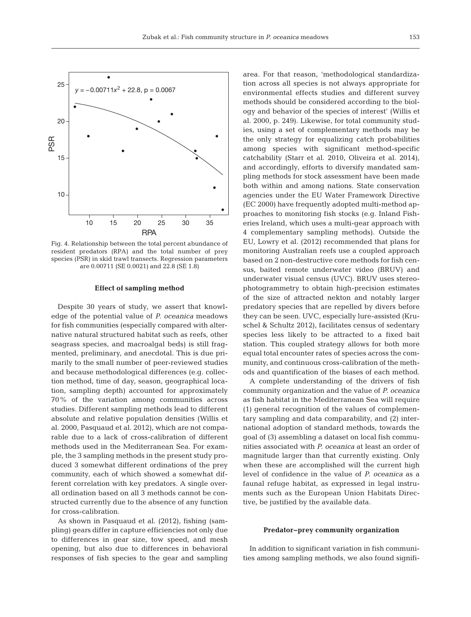

Fig. 4. Relationship between the total percent abundance of resident predators (RPA) and the total number of prey species (PSR) in skid trawl transects. Regression parameters are 0.00711 (SE 0.0021) and 22.8 (SE 1.8)

#### **Effect of sampling method**

Despite 30 years of study, we assert that knowledge of the potential value of *P. oceanica* meadows for fish communities (especially compared with alternative natural structured habitat such as reefs, other seagrass species, and macroalgal beds) is still fragmented, preliminary, and anecdotal. This is due primarily to the small number of peer-reviewed studies and because methodological differences (e.g. collection method, time of day, season, geographical location, sampling depth) accounted for approximately 70% of the variation among communities across studies. Different sampling methods lead to different absolute and relative population densities (Willis et al. 2000, Pasquaud et al. 2012), which are not comparable due to a lack of cross-calibration of different methods used in the Mediterranean Sea. For example, the 3 sampling methods in the present study produced 3 somewhat different ordinations of the prey community, each of which showed a somewhat different correlation with key predators. A single overall ordination based on all 3 methods cannot be constructed currently due to the absence of any function for cross-calibration.

As shown in Pasquaud et al. (2012), fishing (sampling) gears differ in capture efficiencies not only due to differences in gear size, tow speed, and mesh opening, but also due to differences in behavioral responses of fish species to the gear and sampling area. For that reason, 'methodological standardization across all species is not always appropriate for environmental effects studies and different survey methods should be considered according to the biology and behavior of the species of interest' (Willis et al. 2000, p. 249). Likewise, for total community studies, using a set of complementary methods may be the only strategy for equalizing catch probabilities among species with significant method-specific catchability (Starr et al. 2010, Oliveira et al. 2014), and accordingly, efforts to diversify mandated sampling methods for stock assessment have been made both within and among nations. State conservation agencies under the EU Water Framework Directive (EC 2000) have frequently adopted multi-method approaches to monitoring fish stocks (e.g. Inland Fisheries Ireland, which uses a multi-gear approach with 4 complementary sampling methods). Outside the EU, Lowry et al. (2012) recommended that plans for monitoring Australian reefs use a coupled approach based on 2 non-destructive core methods for fish census, baited remote underwater video (BRUV) and underwater visual census (UVC). BRUV uses stereophotogrammetry to obtain high-precision estimates of the size of attracted nekton and notably larger predatory species that are repelled by divers before they can be seen. UVC, especially lure-assisted (Kruschel & Schultz 2012), facilitates census of sedentary species less likely to be attracted to a fixed bait station. This coupled strategy allows for both more equal total encounter rates of species across the community, and continuous cross-calibration of the methods and quantification of the biases of each method.

A complete understanding of the drivers of fish community organization and the value of *P. oceanica* as fish habitat in the Mediterranean Sea will require (1) general recognition of the values of complementary sampling and data comparability, and (2) international adoption of standard methods, towards the goal of (3) assembling a dataset on local fish communities associated with *P. oceanica* at least an order of magnitude larger than that currently existing. Only when these are accomplished will the current high level of confidence in the value of *P. oceanica* as a faunal refuge habitat, as expressed in legal instruments such as the European Union Habitats Directive, be justified by the available data.

#### **Predator−prey community organization**

In addition to significant variation in fish communities among sampling methods, we also found signifi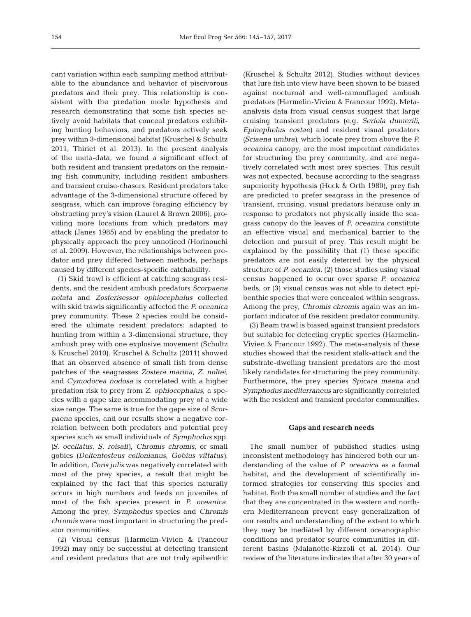cant variation within each sampling method attributable to the abundance and behavior of piscivorous predators and their prey. This relationship is consistent with the predation mode hypothesis and research demonstrating that some fish species ac tively avoid habitats that conceal predators exhibiting hunting behaviors, and predators actively seek prey within 3-dimensional habitat (Kruschel & Schultz 2011, Thiriet et al. 2013). In the present analysis of the meta-data, we found a significant effect of both resident and transient predators on the remaining fish community, including resident ambushers and transient cruise-chasers. Resident predators take advantage of the 3-dimensional structure offered by seagrass, which can improve foraging efficiency by obstructing prey's vision (Laurel & Brown 2006), providing more locations from which predators may attack (Janes 1985) and by enabling the predator to physically approach the prey unnoticed (Horinouchi et al. 2009). However, the relationships between predator and prey differed between methods, perhaps caused by different species-specific catchability.

(1) Skid trawl is efficient at catching seagrass residents, and the resident ambush predators *Scorpaena notata* and *Zosterisessor ophiocephalus* collected with skid trawls significantly affected the *P. oceanica* prey community. These 2 species could be considered the ultimate resident predators: adapted to hunting from within a 3-dimensional structure, they ambush prey with one explosive movement (Schultz & Kruschel 2010). Kruschel & Schultz (2011) showed that an observed absence of small fish from dense patches of the seagrasses *Zostera marina*, *Z. noltei*, and *Cymodocea nodosa* is correlated with a higher predation risk to prey from *Z. ophiocephalus*, a species with a gape size accommodating prey of a wide size range. The same is true for the gape size of *Scorpaena* species, and our results show a negative cor relation between both predators and potential prey species such as small individuals of *Symphodus* spp. *(S. ocellatus*, *S. roisali)*, *Chromis chromis*, or small gobies *(Deltentosteus collonianus*, *Gobius vittatus)*. In addition, *Coris julis* was negatively correlated with most of the prey species, a result that might be explained by the fact that this species naturally occurs in high numbers and feeds on juveniles of most of the fish species present in *P. oceanica.* Among the prey, *Symphodus* species and *Chromis chromis* were most important in structuring the predator communities.

(2) Visual census (Harmelin-Vivien & Francour 1992) may only be successful at detecting transient and resident predators that are not truly epibenthic

(Kruschel & Schultz 2012). Studies without devices that lure fish into view have been shown to be biased against nocturnal and well-camouflaged ambush predators (Harmelin-Vivien & Francour 1992). Metaanalysis data from visual census suggest that large cruising transient predators (e.g. *Seriola dumerili*, *Epinephelus costae)* and resident visual predators *(Sciaena umbra)*, which locate prey from above the *P. oceanica* canopy, are the most important candidates for structuring the prey community, and are negatively correlated with most prey species. This result was not expected, because according to the seagrass superiority hypothesis (Heck & Orth 1980), prey fish are predicted to prefer seagrass in the presence of transient, cruising, visual predators because only in response to predators not physically inside the seagrass canopy do the leaves of *P. oceanica* constitute an effective visual and mechanical barrier to the detection and pursuit of prey. This result might be explained by the possibility that (1) these specific predators are not easily deterred by the physical structure of *P. oceanica*, (2) those studies using visual census happened to occur over sparse *P. oceanica* beds, or (3) visual census was not able to detect epibenthic species that were concealed within seagrass. Among the prey, *Chromis chromis* again was an im portant indicator of the resident predator community.

(3) Beam trawl is biased against transient predators but suitable for detecting cryptic species (Harmelin-Vivien & Francour 1992). The meta-analysis of these studies showed that the resident stalk-attack and the substrate-dwelling transient predators are the most likely candidates for structuring the prey community. Furthermore, the prey species *Spicara maena* and *Symphodus mediterraneus* are significantly correlated with the resident and transient predator communities.

#### **Gaps and research needs**

The small number of published studies using inconsistent methodology has hindered both our understanding of the value of *P. oceanica* as a faunal habitat, and the development of scientifically informed strategies for conserving this species and habitat. Both the small number of studies and the fact that they are concentrated in the western and northern Mediterranean prevent easy generalization of our results and understanding of the extent to which they may be mediated by different oceanographic conditions and predator source communities in different basins (Malanotte-Rizzoli et al. 2014). Our review of the literature indicates that after 30 years of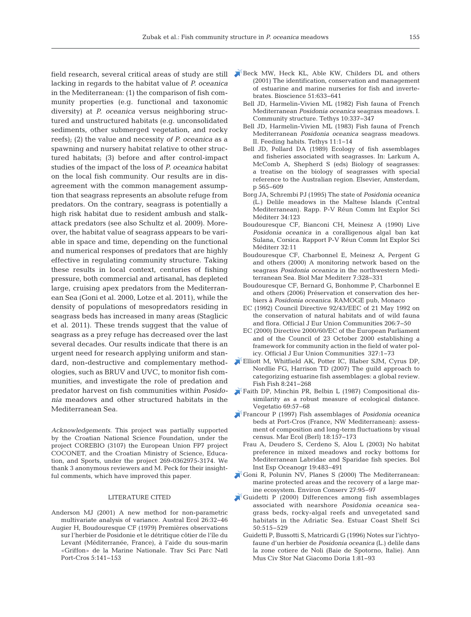lacking in regards to the habitat value of *P. oceanica* in the Mediterranean: (1) the comparison of fish community properties (e.g. functional and taxonomic diversity) at *P. oceanica* versus neighboring structured and unstructured habitats (e.g. unconsolidated sediments, other submerged vegetation, and rocky reefs); (2) the value and necessity *of P. oceanica* as a spawning and nursery habitat relative to other structured habitats; (3) before and after control-impact studies of the impact of the loss of *P. oceanica* habitat on the local fish community. Our results are in disagreement with the common management assumption that seagrass represents an absolute refuge from predators. On the contrary, seagrass is potentially a high risk habitat due to resident ambush and stalkattack predators (see also Schultz et al. 2009). Moreover, the habitat value of seagrass appears to be variable in space and time, depending on the functional and numerical responses of predators that are highly effective in regulating community structure. Taking these results in local context, centuries of fishing pressure, both commercial and artisanal, has depleted large, cruising apex predators from the Mediterranean Sea (Goni et al. 2000, Lotze et al. 2011), while the density of populations of mesopredators residing in seagrass beds has increased in many areas (Staglicic et al. 2011). These trends suggest that the value of seagrass as a prey refuge has decreased over the last several decades. Our results indicate that there is an urgent need for research applying uniform and standard, non-destructive and complementary methodologies, such as BRUV and UVC, to monitor fish communities, and investigate the role of predation and predator harvest on fish communities within *Posidonia* meadows and other structured habitats in the Mediterranean Sea.

*Acknowledgements*. This project was partially supported by the Croatian National Science Foundation, under the project COREBIO (3107) the European Union FP7 project COCONET, and the Croatian Ministry of Science, Education, and Sports, under the project 269-0362975-3174. We thank 3 anonymous reviewers and M. Peck for their insightful comments, which have improved this paper.

#### LITERATURE CITED

- Anderson MJ (2001) A new method for non-parametric multivariate analysis of variance. Austral Ecol 26:32-46
- Augier H, Boudouresque CF (1979) Premières observations sur l'herbier de Posidonie et le détritique côtier de l'île du Levant (Méditerranée, France), à l'aide du sous-marin «Griffon» de la Marine Nationale. Trav Sci Parc Natl Port-Cros 5: 141−153
- field research, several critical areas of study are still wheck MW, Heck KL, Able KW, Childers DL and others (2001) The identification, conservation and management of estuarine and marine nurseries for fish and invertebrates. Bioscience 51:633-641
	- Bell JD, Harmelin-Vivien ML (1982) Fish fauna of French Mediterranean *Posidonia oceanica* seagrass meadows. I. Community structure. Tethys 10: 337−347
	- Bell JD, Harmelin-Vivien ML (1983) Fish fauna of French Mediterranean *Posidonia oceanica* seagrass meadows. II. Feeding habits. Tethys 11: 1−14
	- Bell JD, Pollard DA (1989) Ecology of fish assemblages and fisheries associated with seagrasses. In: Larkum A, McComb A, Shepherd S (eds) Biology of seagrasses: a treatise on the biology of seagrasses with special reference to the Australian region. Elsevier, Amsterdam, p 565−609
	- Borg JA, Schrembi PJ (1995) The state of *Posidonia oceanica* (L.) Delile meadows in the Maltese Islands (Central Mediterranean). Rapp. P-V Réun Comm Int Explor Sci Méditerr 34:123
	- Boudouresque CF, Bianconi CH, Meinesz A (1990) Live *Posidonia oceanica* in a coralligenous algal ban kat Sulana, Corsica. Rapport P-V Réun Comm Int Explor Sci Méditerr 32:11
	- Boudouresque CF, Charbonnel E, Meinesz A, Pergent G and others (2000) A monitoring network based on the seagrass *Posidonia oceanica* in the northwestern Mediterranean Sea. Biol Mar Mediterr 7: 328−331
	- Boudouresque CF, Bernard G, Bonhomme P, Charbonnel E and others (2006) Préservation et conservation des herbiers à *Posidonia oceanica*. RAMOGE pub, Monaco
	- EC (1992) Council Directive 92/43/EEC of 21 May 1992 on the conservation of natural habitats and of wild fauna and flora. Official J Eur Union Communities 206:7-50
	- EC (2000) Directive 2000/60/EC of the European Parliament and of the Council of 23 October 2000 establishing a framework for community action in the field of water policy. Official J Eur Union Communities 327: 1−73
	- [Elliott M, Whitfield AK, Potter IC, Blaber SJM, Cyrus DP,](https://doi.org/10.1111/j.1467-2679.2007.00253.x) Nordlie FG, Harrison TD (2007) The guild approach to categorizing estuarine fish assemblages:a global review. Fish Fish 8: 241−268
	- Faith DP, Minchin PR, Belbin L (1987) Compositional dissimilarity as a robust measure of ecological distance. Vegetatio 69:57-68
	- [Francour P \(1997\) Fish assemblages of](https://doi.org/10.1111/j.1439-0485.1997.tb00434.x) *Posidonia oceanica* beds at Port-Cros (France, NW Mediterranean): assessment of composition and long-term fluctuations by visual census. Mar Ecol (Berl) 18: 157−173
		- Frau A, Deudero S, Cerdeno S, Alou L (2003) No habitat preference in mixed meadows and rocky bottoms for Mediterranean Labridae and Sparidae fish species. Bol Inst Esp Oceanogr 19: 483−491
	- [Goni R, Polunin NV, Planes S \(2000\) The Mediterranean:](https://doi.org/10.1017/S0376892900000126)  marine protected areas and the recovery of a large marine ecosystem. Environ Conserv 27: 95−97
	- [Guidetti P \(2000\) Differences among fish assemblages](https://doi.org/10.1006/ecss.1999.0584) associated with nearshore *Posidonia oceanica* seagrass beds, rocky-algal reefs and unvegetated sand habitats in the Adriatic Sea. Estuar Coast Shelf Sci 50: 515−529
		- Guidetti P, Bussotti S, Matricardi G (1996) Notes sur l'ichtyo faune d'un herbier de *Posidonia oceanica* (L.) delile dans la zone cotiere de Noli (Baie de Spotorno, Italie). Ann Mus Civ Stor Nat Giacomo Doria 1:81−93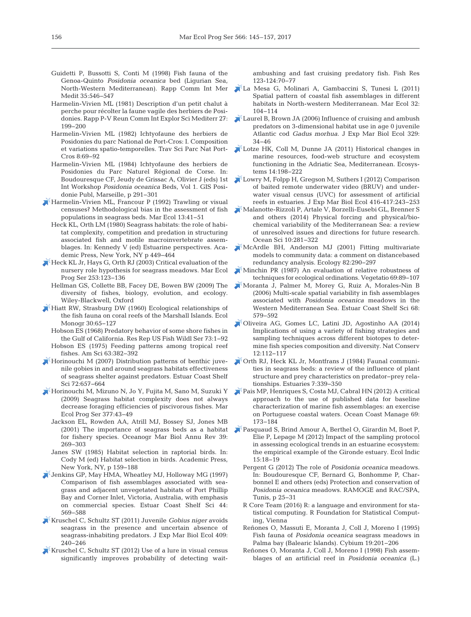- Guidetti P, Bussotti S, Conti M (1998) Fish fauna of the Genoa-Quinto *Posidonia oceanica* bed (Ligurian Sea, North-Western Mediterranean). Rapp Comm Int Mer Medit 35:546-547
- Harmelin-Vivien ML (1981) Description d'un petit chalut à perche pour récolter la faune vagile des herbiers de Posidonies. Rapp P-V Reun Comm Int Explor Sci Mediterr 27: 199−200
- Harmelin-Vivien ML (1982) Ichtyofaune des herbiers de Posidonies du parc National de Port-Cros:I. Composition et variations spatio-temporelles. Trav Sci Parc Nat Port-Cros 8: 69−92
- Harmelin-Vivien ML (1984) Ichtyofaune des herbiers de Posidonies du Parc Naturel Régional de Corse. In: Boudouresque CF, Jeudy de Grissac A, Olivier J (eds) 1st Int Workshop *Posidonia oceanica* Beds, Vol 1. GIS Posidonie Publ, Marseille, p 291−301
- [Harmelin-Vivien ML, Francour P \(1992\) Trawling or visual](https://doi.org/10.1111/j.1439-0485.1992.tb00338.x) censuses? Methodological bias in the assessment of fish populations in seagrass beds. Mar Ecol 13:41–51
	- Heck KL, Orth LM (1980) Seagrass habitats: the role of habitat complexity, competition and predation in structuring associated fish and motile macroinvertebrate assemblages. In: Kennedy V (ed) Estuarine perspectives. Academic Press, New York, NY p 449−464
- [Heck KL Jr, Hays G, Orth RJ \(2003\) Critical evaluation of the](https://doi.org/10.3354/meps253123) nursery role hypothesis for seagrass meadows. Mar Ecol Prog Ser 253: 123−136
	- Hellman GS, Collette BB, Facey DE, Bowen BW (2009) The diversity of fishes, biology, evolution, and ecology. Wiley-Blackwell, Oxford
- [Hiatt RW, Strasburg DW \(1960\) Ecological relationships of](https://doi.org/10.2307/1942181) the fish fauna on coral reefs of the Marshall Islands. Ecol Monogr 30:65–127
	- Hobson ES (1968) Predatory behavior of some shore fishes in the Gulf of California. Res Rep US Fish Wildl Ser 73: 1−92
- Hobson ES (1975) Feeding patterns among tropical reef fishes. Am Sci 63: 382−392
- [Horinouchi M \(2007\) Distribution patterns of benthic juve](https://doi.org/10.1016/j.ecss.2006.11.025)nile gobies in and around seagrass habitats effectiveness of seagrass shelter against predators. Estuar Coast Shelf Sci 72: 657−664
- [Horinouchi M, Mizuno N, Jo Y, Fujita M, Sano M, Suzuki Y](https://doi.org/10.3354/meps07869) (2009) Seagrass habitat complexity does not always decrease foraging efficiencies of piscivorous fishes. Mar Ecol Prog Ser 377:43-49
	- Jackson EL, Rowden AA, Atrill MJ, Bossey SJ, Jones MB (2001) The importance of seagrass beds as a habitat for fishery species. Oceanogr Mar Biol Annu Rev 39: 269−303
	- Janes SW (1985) Habitat selection in raptorial birds. In: Cody M (ed) Habitat selection in birds. Academic Press, New York, NY, p 159−188
- [Jenkins GP, May HMA, Wheatley MJ, Holloway MG \(1997\)](https://doi.org/10.1006/ecss.1996.0131) Comparison of fish assemblages associated with seagrass and adjacent unvegetated habitats of Port Phillip Bay and Corner Inlet, Victoria, Australia, with emphasis on commercial species. Estuar Coast Shelf Sci 44: 569−588
- [Kruschel C, Schultz ST \(2011\) Juvenile](https://doi.org/10.1016/j.jembe.2011.09.001) *Gobius niger* avoids seagrass in the presence and uncertain absence of seagrass-inhabiting predators. J Exp Mar Biol Ecol 409: 240−246
- [Kruschel C, Schultz ST \(2012\) Use of a lure in visual census](https://doi.org/10.1016/j.fishres.2011.11.015) significantly improves probability of detecting wait-

ambushing and fast cruising predatory fish. Fish Res 123-124: 70−77

- [La Mesa G, Molinari A, Gambaccini S, Tunesi L \(2011\)](https://doi.org/10.1111/j.1439-0485.2010.00404.x) Spatial pattern of coastal fish assemblages in different habitats in North-western Mediterranean. Mar Ecol 32: 104−114
- [Laurel B, Brown JA \(2006\) Influence of cruising and ambush](https://doi.org/10.1016/j.jembe.2005.08.003) predators on 3-dimensional habitat use in age 0 juvenile Atlantic cod *Gadus morhua*. J Exp Mar Biol Ecol 329: 34−46
- [Lotze HK, Coll M, Dunne JA \(2011\) Historical changes in](https://doi.org/10.1007/s10021-010-9404-8) marine resources, food-web structure and ecosystem functioning in the Adriatic Sea, Mediterranean. Ecosystems 14: 198−222
- [Lowry M, Folpp H, Gregson M, Suthers I \(2012\) Comparison](https://doi.org/10.1016/j.jembe.2012.01.013) of baited remote underwater video (BRUV) and underwater visual census (UVC) for assessment of artificial reefs in estuaries. J Exp Mar Biol Ecol 416-417:243−253
- [Malanotte-Rizzoli P, Artale V, Borzelli-Eusebi GL, Brenner S](https://doi.org/10.5194/os-10-281-2014) and others (2014) Physical forcing and physical/biochemical variability of the Mediterranean Sea: a review of unresolved issues and directions for future research. Ocean Sci 10: 281−322
- [McArdle BH, Anderson MJ \(2001\) Fitting multivariate](https://doi.org/10.1890/0012-9658(2001)082[0290%3AFMMTCD]2.0.CO%3B2) models to community data:a comment on distancebased redundancy analysis. Ecology 82:290-297
- [Minchin PR \(1987\) An evaluation of relative robustness of](https://doi.org/10.1007/BF00038690) techniques for ecological ordinations. Vegetatio 69:89-107
- [Moranta J, Palmer M, Morey G, Ruiz A, Morales-Nin B](https://doi.org/10.1016/j.ecss.2006.03.008) (2006) Multi-scale spatial variability in fish assemblages associated with *Posidonia oceanica* meadows in the Western Mediterranean Sea. Estuar Coast Shelf Sci 68: 579−592
- [Oliveira AG, Gomes LC, Latini JD, Agostinho AA \(2014\)](https://doi.org/10.1016/j.ncon.2014.08.004) Implications of using a variety of fishing strategies and sampling techniques across different biotopes to determine fish species composition and diversity. Nat Conserv 12: 112−117
- [Orth RJ, Heck KL Jr, Montfrans J \(1984\) Faunal communi](https://doi.org/10.2307/1351618)ties in seagrass beds: a review of the influence of plant structure and prey characteristics on predator−prey relationships. Estuaries 7: 339−350
- [Pais MP, Henriques S, Costa MJ, Cabral HN \(2012\) A critical](https://doi.org/10.1016/j.ocecoaman.2012.06.009) approach to the use of published data for baseline characterization of marine fish assemblages: an exercise on Portuguese coastal waters. Ocean Coast Manage 69: 173−184
- [Pasquaud S, Brind Amour A, Berthel O, Girardin M, Boet P,](https://doi.org/10.1016/j.ecolind.2011.09.017) Elie P, Lepage M (2012) Impact of the sampling protocol in assessing ecological trends in an estuarine ecosystem: the empirical example of the Gironde estuary. Ecol Indic 15: 18−19
	- Pergent G (2012) The role of *Posidonia oceanica* meadows. In: Boudouresque CF, Bernard G, Bonhomme P, Charbonnel E and others (eds) Protection and conservation of *Posidonia oceanica* meadows. RAMOGE and RAC/SPA, Tunis, p 25−31
	- R Core Team (2016) R: a language and environment for statistical computing. R Foundation for Statistical Computing, Vienna
	- Reñones O, Massuti E, Moranta J, Coll J, Moreno I (1995) Fish fauna of *Posidonia oceanica* seagrass meadows in Palma bay (Balearic Islands). Cybium 19:201-206
	- Reñones O, Moranta J, Coll J, Moreno I (1998) Fish assemblages of an artificial reef in *Posidonia oceanica* (L.)